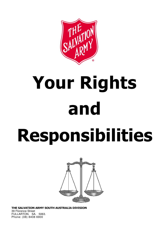

# Your Rights and

# Responsibilities



THE SALVATION ARMY SOUTH AUSTRALIA DIVISION 39 Florence Street FULLARTON. SA. 5063. Phone: (08) 8408 6900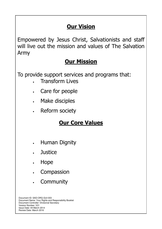## **Our Vision**

Empowered by Jesus Christ, Salvationists and staff will live out the mission and values of The Salvation Army

#### **Our Mission**

To provide support services and programs that:

- Transform Lives
- Care for people
- Make disciples
- Reform society

### Our Core Values

- Human Dignity
- Justice
- Hope
- Compassion
- Community

Document ID: SAD-ORG-GUI-003 Document Name: Your Rights and Responsibility Booklet Document Controller: Divisional Secretary Version Number: V21 Issue Date: 04 March 2014 Review Date: March 2016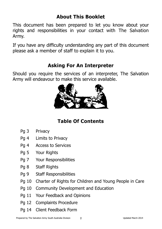#### About This Booklet

This document has been prepared to let you know about your rights and responsibilities in your contact with The Salvation Army.

If you have any difficulty understanding any part of this document please ask a member of staff to explain it to you.

#### Asking For An Interpreter

Should you require the services of an interpreter, The Salvation Army will endeavour to make this service available.



#### Table Of Contents

- Pg 3 Privacy
- Pg 4 Limits to Privacy
- Pg 4 Access to Services
- Pg 5 Your Rights
- Pg 7 Your Responsibilities
- Pg 8 Staff Rights
- Pg 9 Staff Responsibilities
- Pg 10 Charter of Rights for Children and Young People in Care
- Pg 10 Community Development and Education
- Pg 11 Your Feedback and Opinions
- Pg 12 Complaints Procedure
- Pg 14 Client Feedback Form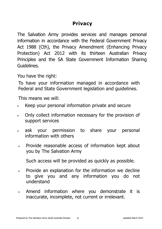#### Privacy

The Salvation Army provides services and manages personal information in accordance with the Federal Government Privacy Act 1988 (Cth), the Privacy Amendment (Enhancing Privacy Protection) Act 2012 with its thirteen Australian Privacy Principles and the SA State Government Information Sharing Guidelines.

You have the right:

To have your information managed in accordance with Federal and State Government legislation and guidelines.

This means we will:

- Keep your personal information private and secure
- Only collect information necessary for the provision of support services
- ask your permission to share your personal information with others
- Provide reasonable access of information kept about you by The Salvation Army
	- Such access will be provided as quickly as possible.
- Provide an explanation for the information we decline to give you and any information you do not understand
- Amend information where you demonstrate it is inaccurate, incomplete, not current or irrelevant.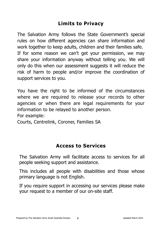#### Limits to Privacy

The Salvation Army follows the State Government's special rules on how different agencies can share information and work together to keep adults, children and their families safe. If for some reason we can't get your permission, we may share your information anyway without telling you. We will only do this when our assessment suggests it will reduce the risk of harm to people and/or improve the coordination of support services to you.

You have the right to be informed of the circumstances where we are required to release your records to other agencies or when there are legal requirements for your information to be relayed to another person. For example:

Courts, Centrelink, Coroner, Families SA

#### Access to Services

The Salvation Army will facilitate access to services for all people seeking support and assistance.

This includes all people with disabilities and those whose primary language is not English.

If you require support in accessing our services please make your request to a member of our on-site staff.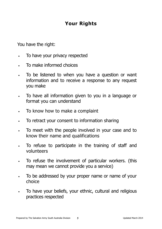#### Your Rights

You have the right:

- To have your privacy respected
- To make informed choices
- To be listened to when you have a question or want information and to receive a response to any request you make
- To have all information given to you in a language or format you can understand
- To know how to make a complaint
- To retract your consent to information sharing
- To meet with the people involved in your case and to know their name and qualifications
- To refuse to participate in the training of staff and volunteers
- To refuse the involvement of particular workers. (this may mean we cannot provide you a service)
- To be addressed by your proper name or name of your choice
- To have your beliefs, your ethnic, cultural and religious practices respected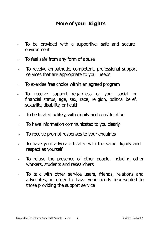#### More of your Rights

- To be provided with a supportive, safe and secure environment
- To feel safe from any form of abuse
- To receive empathetic, competent, professional support services that are appropriate to your needs
- To exercise free choice within an agreed program
- To receive support regardless of your social or financial status, age, sex, race, religion, political belief, sexuality, disability, or health
- To be treated politely, with dignity and consideration
- To have information communicated to you clearly
- To receive prompt responses to your enquiries
- To have your advocate treated with the same dignity and respect as yourself
- To refuse the presence of other people, including other workers, students and researchers
- To talk with other service users, friends, relations and advocates, in order to have your needs represented to those providing the support service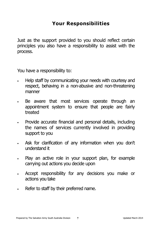#### Your Responsibilities

Just as the support provided to you should reflect certain principles you also have a responsibility to assist with the process.

You have a responsibility to:

- Help staff by communicating your needs with courtesy and respect, behaving in a non-abusive and non-threatening manner
- Be aware that most services operate through an appointment system to ensure that people are fairly treated
- Provide accurate financial and personal details, including the names of services currently involved in providing support to you
- Ask for clarification of any information when you don't understand it
- Play an active role in your support plan, for example carrying out actions you decide upon
- Accept responsibility for any decisions you make or actions you take
- Refer to staff by their preferred name.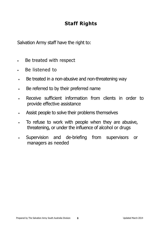#### Staff Rights

Salvation Army staff have the right to:

- Be treated with respect
- Be listened to
- Be treated in a non-abusive and non-threatening way
- Be referred to by their preferred name
- Receive sufficient information from clients in order to provide effective assistance
- Assist people to solve their problems themselves
- To refuse to work with people when they are abusive, threatening, or under the influence of alcohol or drugs
- Supervision and de-briefing from supervisors or managers as needed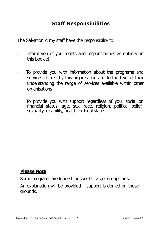#### Staff Responsibilities

The Salvation Army staff have the responsibility to:

- Inform you of your rights and responsibilities as outlined in this booklet
- To provide you with information about the programs and services offered by this organisation and to the level of their understanding the range of services available within other organisations
- To provide you with support regardless of your social or financial status, age, sex, race, religion, political belief, sexuality, disability, health, or legal status.

#### Please Note:

Some programs are funded for specific target groups only. An explanation will be provided if support is denied on these grounds.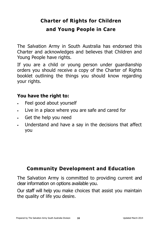# Charter of Rights for Children and Young People in Care

The Salvation Army in South Australia has endorsed this Charter and acknowledges and believes that Children and Young People have rights.

If you are a child or young person under guardianship orders you should receive a copy of the Charter of Rights booklet outlining the things you should know regarding your rights.

#### You have the right to:

- Feel good about yourself
- Live in a place where you are safe and cared for
- Get the help you need
- Understand and have a say in the decisions that affect you

#### Community Development and Education

The Salvation Army is committed to providing current and clear information on options available you.

Our staff will help you make choices that assist you maintain the quality of life you desire.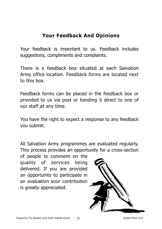#### Your Feedback And Opinions

Your feedback is important to us. Feedback includes suggestions, compliments and complaints.

There is a feedback box situated at each Salvation Army office location. Feedback forms are located next to this box.

Feedback forms can be placed in the feedback box or provided to us via post or handing it direct to one of our staff at any time.

You have the right to expect a response to any feedback you submit.

All Salvation Army programmes are evaluated regularly. This process provides an opportunity for a cross-section

of people to comment on the quality of services being delivered. If you are provided an opportunity to participate in an evaluation your contribution is greatly appreciated.

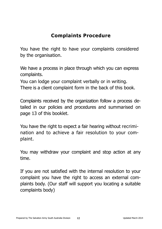#### Complaints Procedure

You have the right to have your complaints considered by the organisation.

We have a process in place through which you can express complaints.

You can lodge your complaint verbally or in writing. There is a client complaint form in the back of this book.

Complaints received by the organization follow a process detailed in our policies and procedures and summarised on page 13 of this booklet.

You have the right to expect a fair hearing without recrimination and to achieve a fair resolution to your complaint.

You may withdraw your complaint and stop action at any time.

If you are not satisfied with the internal resolution to your complaint you have the right to access an external complaints body. (Our staff will support you locating a suitable complaints body)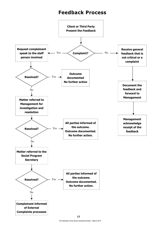#### Feedback Process